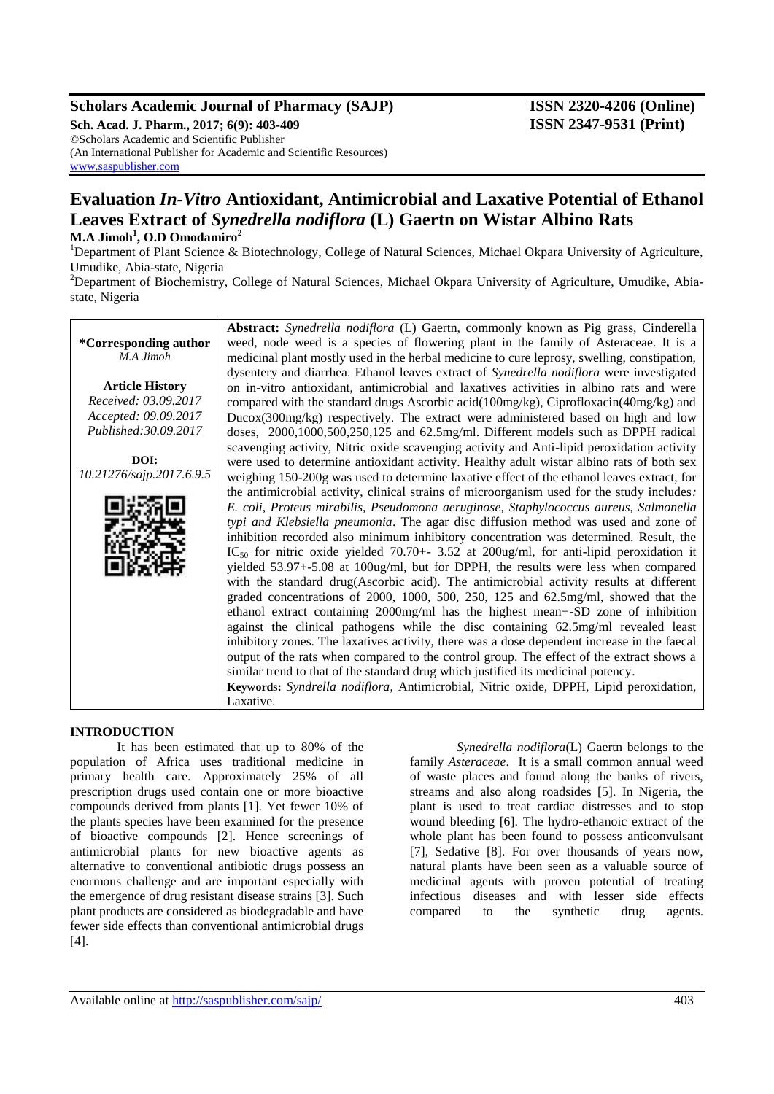# **Scholars Academic Journal of Pharmacy (SAJP) ISSN 2320-4206 (Online)**

**Sch. Acad. J. Pharm., 2017; 6(9): 403-409 ISSN 2347-9531 (Print)** ©Scholars Academic and Scientific Publisher (An International Publisher for Academic and Scientific Resources) [www.saspublisher.com](http://www.saspublisher.com/)

# **Evaluation** *In-Vitro* **Antioxidant, Antimicrobial and Laxative Potential of Ethanol Leaves Extract of** *Synedrella nodiflora* **(L) Gaertn on Wistar Albino Rats M.A Jimoh<sup>1</sup> , O.D Omodamiro<sup>2</sup>**

<sup>1</sup>Department of Plant Science & Biotechnology, College of Natural Sciences, Michael Okpara University of Agriculture, Umudike, Abia-state, Nigeria

<sup>2</sup>Department of Biochemistry, College of Natural Sciences, Michael Okpara University of Agriculture, Umudike, Abiastate, Nigeria

**\*Corresponding author** *M.A Jimoh*  **Article History** *Received: 03.09.2017 Accepted: 09.09.2017 Published:30.09.2017* **DOI:** *10.21276/sajp.2017.6.9.5* **Abstract:** *Synedrella nodiflora* (L) Gaertn, commonly known as Pig grass, Cinderella weed, node weed is a species of flowering plant in the family of Asteraceae. It is a medicinal plant mostly used in the herbal medicine to cure leprosy, swelling, constipation, dysentery and diarrhea. Ethanol leaves extract of *Synedrella nodiflora* were investigated on in-vitro antioxidant, antimicrobial and laxatives activities in albino rats and were compared with the standard drugs Ascorbic acid(100mg/kg), Ciprofloxacin(40mg/kg) and Ducox(300mg/kg) respectively. The extract were administered based on high and low doses, 2000,1000,500,250,125 and 62.5mg/ml. Different models such as DPPH radical scavenging activity, Nitric oxide scavenging activity and Anti-lipid peroxidation activity were used to determine antioxidant activity. Healthy adult wistar albino rats of both sex weighing 150-200g was used to determine laxative effect of the ethanol leaves extract, for the antimicrobial activity, clinical strains of microorganism used for the study includes*: E. coli, Proteus mirabilis, Pseudomona aeruginose, Staphylococcus aureus, Salmonella typi and Klebsiella pneumonia*. The agar disc diffusion method was used and zone of inhibition recorded also minimum inhibitory concentration was determined. Result, the  $IC_{50}$  for nitric oxide yielded 70.70+- 3.52 at 200ug/ml, for anti-lipid peroxidation it yielded 53.97+-5.08 at 100ug/ml, but for DPPH, the results were less when compared with the standard drug(Ascorbic acid). The antimicrobial activity results at different graded concentrations of 2000, 1000, 500, 250, 125 and 62.5mg/ml, showed that the ethanol extract containing 2000mg/ml has the highest mean+-SD zone of inhibition against the clinical pathogens while the disc containing 62.5mg/ml revealed least inhibitory zones. The laxatives activity, there was a dose dependent increase in the faecal output of the rats when compared to the control group. The effect of the extract shows a similar trend to that of the standard drug which justified its medicinal potency. **Keywords:** *Syndrella nodiflora*, Antimicrobial, Nitric oxide, DPPH, Lipid peroxidation, Laxative.

#### **INTRODUCTION**

It has been estimated that up to 80% of the population of Africa uses traditional medicine in primary health care. Approximately 25% of all prescription drugs used contain one or more bioactive compounds derived from plants [1]. Yet fewer 10% of the plants species have been examined for the presence of bioactive compounds [2]. Hence screenings of antimicrobial plants for new bioactive agents as alternative to conventional antibiotic drugs possess an enormous challenge and are important especially with the emergence of drug resistant disease strains [3]. Such plant products are considered as biodegradable and have fewer side effects than conventional antimicrobial drugs [4].

*Synedrella nodiflora*(L) Gaertn belongs to the family *Asteraceae*. It is a small common annual weed of waste places and found along the banks of rivers, streams and also along roadsides [5]. In Nigeria, the plant is used to treat cardiac distresses and to stop wound bleeding [6]. The hydro-ethanoic extract of the whole plant has been found to possess anticonvulsant [7], Sedative [8]. For over thousands of years now, natural plants have been seen as a valuable source of medicinal agents with proven potential of treating infectious diseases and with lesser side effects compared to the synthetic drug agents.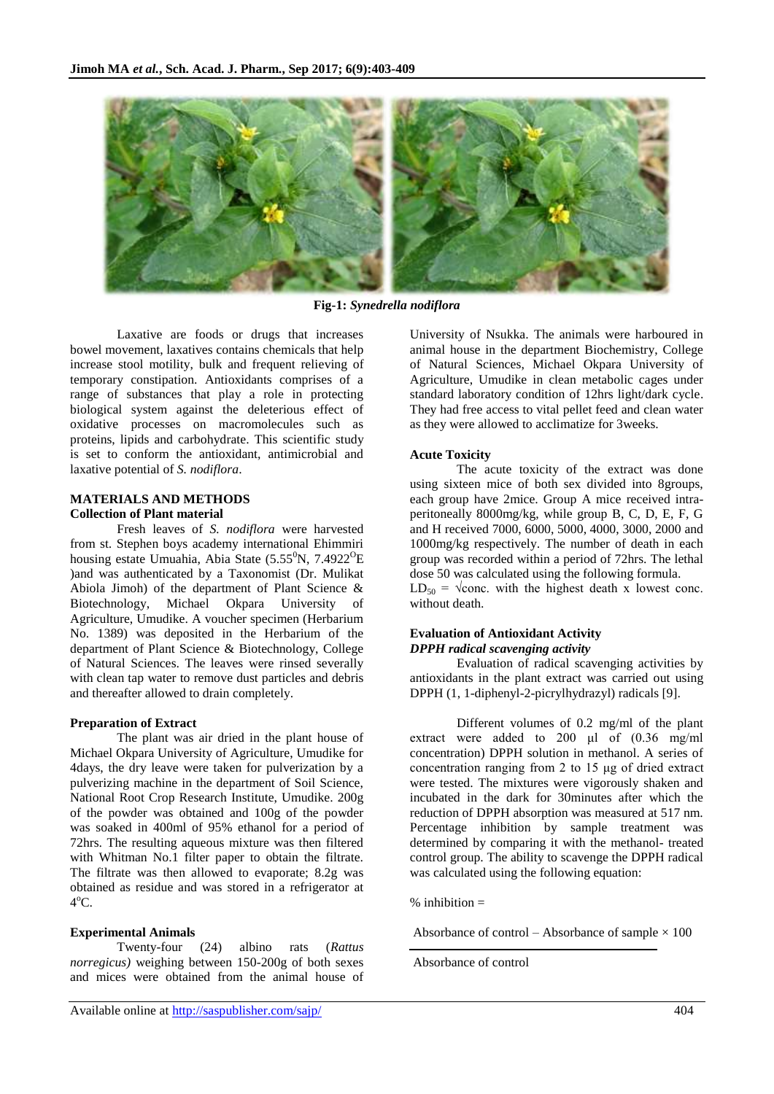

**Fig-1:** *Synedrella nodiflora*

Laxative are foods or drugs that increases bowel movement, laxatives contains chemicals that help increase stool motility, bulk and frequent relieving of temporary constipation. Antioxidants comprises of a range of substances that play a role in protecting biological system against the deleterious effect of oxidative processes on macromolecules such as proteins, lipids and carbohydrate. This scientific study is set to conform the antioxidant, antimicrobial and laxative potential of *S. nodiflora*.

#### **MATERIALS AND METHODS Collection of Plant material**

Fresh leaves of *S. nodiflora* were harvested from st. Stephen boys academy international Ehimmiri housing estate Umuahia, Abia State (5.55 $\rm ^{0}N$ , 7.4922 $\rm ^{0}E$ ) )and was authenticated by a Taxonomist (Dr. Mulikat Abiola Jimoh) of the department of Plant Science & Biotechnology, Michael Okpara University of Agriculture, Umudike. A voucher specimen (Herbarium No. 1389) was deposited in the Herbarium of the department of Plant Science & Biotechnology, College of Natural Sciences. The leaves were rinsed severally with clean tap water to remove dust particles and debris and thereafter allowed to drain completely.

#### **Preparation of Extract**

The plant was air dried in the plant house of Michael Okpara University of Agriculture, Umudike for 4days, the dry leave were taken for pulverization by a pulverizing machine in the department of Soil Science, National Root Crop Research Institute, Umudike. 200g of the powder was obtained and 100g of the powder was soaked in 400ml of 95% ethanol for a period of 72hrs. The resulting aqueous mixture was then filtered with Whitman No.1 filter paper to obtain the filtrate. The filtrate was then allowed to evaporate; 8.2g was obtained as residue and was stored in a refrigerator at  $4^{\circ}$ C.

## **Experimental Animals**

Twenty-four (24) albino rats (*Rattus norregicus)* weighing between 150-200g of both sexes and mices were obtained from the animal house of

University of Nsukka. The animals were harboured in animal house in the department Biochemistry, College of Natural Sciences, Michael Okpara University of Agriculture, Umudike in clean metabolic cages under standard laboratory condition of 12hrs light/dark cycle. They had free access to vital pellet feed and clean water as they were allowed to acclimatize for 3weeks.

#### **Acute Toxicity**

The acute toxicity of the extract was done using sixteen mice of both sex divided into 8groups, each group have 2mice. Group A mice received intraperitoneally 8000mg/kg, while group B, C, D, E, F, G and H received 7000, 6000, 5000, 4000, 3000, 2000 and 1000mg/kg respectively. The number of death in each group was recorded within a period of 72hrs. The lethal dose 50 was calculated using the following formula.  $LD_{50} = \sqrt{\text{conc. with the highest death x lowest cone.}}$ without death.

#### **Evaluation of Antioxidant Activity** *DPPH radical scavenging activity*

Evaluation of radical scavenging activities by antioxidants in the plant extract was carried out using DPPH (1, 1-diphenyl-2-picrylhydrazyl) radicals [9].

Different volumes of 0.2 mg/ml of the plant extract were added to 200 μl of (0.36 mg/ml concentration) DPPH solution in methanol. A series of concentration ranging from 2 to 15 μg of dried extract were tested. The mixtures were vigorously shaken and incubated in the dark for 30minutes after which the reduction of DPPH absorption was measured at 517 nm. Percentage inhibition by sample treatment was determined by comparing it with the methanol- treated control group. The ability to scavenge the DPPH radical was calculated using the following equation:

 $%$  inhibition  $=$ 

 $\overline{a}$ 

Absorbance of control – Absorbance of sample  $\times$  100

Absorbance of control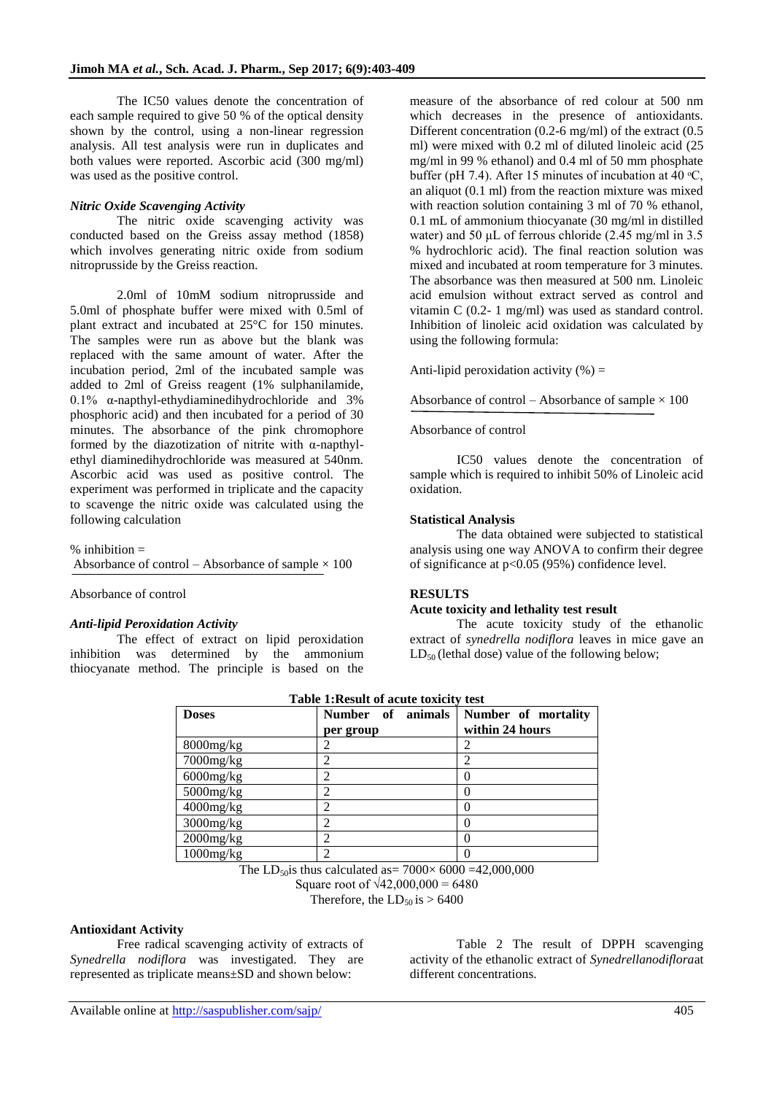The IC50 values denote the concentration of each sample required to give 50 % of the optical density shown by the control, using a non-linear regression analysis. All test analysis were run in duplicates and both values were reported. Ascorbic acid (300 mg/ml) was used as the positive control.

#### *Nitric Oxide Scavenging Activity*

The nitric oxide scavenging activity was conducted based on the Greiss assay method (1858) which involves generating nitric oxide from sodium nitroprusside by the Greiss reaction.

2.0ml of 10mM sodium nitroprusside and 5.0ml of phosphate buffer were mixed with 0.5ml of plant extract and incubated at 25°C for 150 minutes. The samples were run as above but the blank was replaced with the same amount of water. After the incubation period, 2ml of the incubated sample was added to 2ml of Greiss reagent (1% sulphanilamide, 0.1% α-napthyl-ethydiaminedihydrochloride and 3% phosphoric acid) and then incubated for a period of 30 minutes. The absorbance of the pink chromophore formed by the diazotization of nitrite with α-napthylethyl diaminedihydrochloride was measured at 540nm. Ascorbic acid was used as positive control. The experiment was performed in triplicate and the capacity to scavenge the nitric oxide was calculated using the following calculation

 $%$  inhibition  $=$ Absorbance of control – Absorbance of sample  $\times$  100 j

Absorbance of control

#### *Anti-lipid Peroxidation Activity*

The effect of extract on lipid peroxidation inhibition was determined by the ammonium thiocyanate method. The principle is based on the

measure of the absorbance of red colour at 500 nm which decreases in the presence of antioxidants. Different concentration (0.2-6 mg/ml) of the extract (0.5 ml) were mixed with 0.2 ml of diluted linoleic acid (25 mg/ml in 99 % ethanol) and 0.4 ml of 50 mm phosphate buffer (pH 7.4). After 15 minutes of incubation at 40  $\rm{^{\circ}C}$ , an aliquot (0.1 ml) from the reaction mixture was mixed with reaction solution containing 3 ml of 70 % ethanol, 0.1 mL of ammonium thiocyanate (30 mg/ml in distilled water) and 50  $\mu$ L of ferrous chloride (2.45 mg/ml in 3.5 % hydrochloric acid). The final reaction solution was mixed and incubated at room temperature for 3 minutes. The absorbance was then measured at 500 nm. Linoleic acid emulsion without extract served as control and vitamin C (0.2- 1 mg/ml) was used as standard control. Inhibition of linoleic acid oxidation was calculated by using the following formula:

Anti-lipid peroxidation activity  $(\%) =$ 

Absorbance of control – Absorbance of sample  $\times$  100

#### Absorbance of control

IC50 values denote the concentration of sample which is required to inhibit 50% of Linoleic acid oxidation.

#### **Statistical Analysis**

The data obtained were subjected to statistical analysis using one way ANOVA to confirm their degree of significance at p<0.05 (95%) confidence level.

### **RESULTS**

#### **Acute toxicity and lethality test result**

The acute toxicity study of the ethanolic extract of *synedrella nodiflora* leaves in mice gave an  $LD_{50}$  (lethal dose) value of the following below;

| Tuble Threshie of acute toxicity test |                                |                                        |  |  |
|---------------------------------------|--------------------------------|----------------------------------------|--|--|
| <b>Doses</b>                          | Number of animals<br>per group | Number of mortality<br>within 24 hours |  |  |
| 8000mg/kg                             |                                |                                        |  |  |
| $7000$ mg/ $kg$                       |                                | ◠                                      |  |  |
| $6000$ mg/ $kg$                       |                                |                                        |  |  |
| $5000$ mg/ $kg$                       |                                | 0                                      |  |  |
| $4000$ mg/ $kg$                       |                                | 0                                      |  |  |
| $3000$ mg/ $kg$                       |                                | 0                                      |  |  |
| $2000$ mg/ $kg$                       |                                | 0                                      |  |  |
| $1000$ mg/ $kg$                       |                                |                                        |  |  |

**Table 1:Result of acute toxicity test**

The LD<sub>50</sub>is thus calculated as=  $7000 \times 6000 = 42,000,000$ 

Square root of  $\sqrt{42,000,000} = 6480$ 

Therefore, the  $LD_{50}$  is  $> 6400$ 

#### **Antioxidant Activity**

Free radical scavenging activity of extracts of *Synedrella nodiflora* was investigated. They are represented as triplicate means±SD and shown below:

Table 2 The result of DPPH scavenging activity of the ethanolic extract of *Synedrellanodiflora*at different concentrations.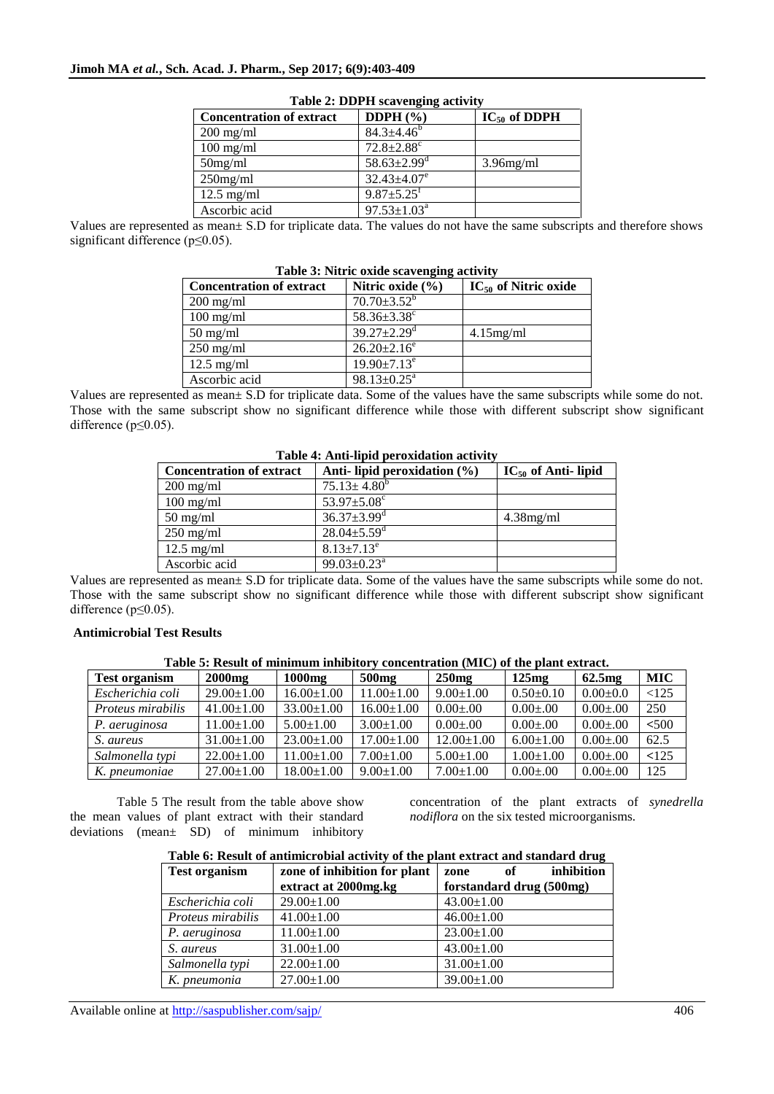| <b>Concentration of extract</b> | DDPH $(\% )$                  | $IC_{50}$ of DDPH |
|---------------------------------|-------------------------------|-------------------|
| $200$ mg/ml                     | $84.3 \pm 4.46^b$             |                   |
| $100$ mg/ml                     | $72.8 \pm 2.88$ <sup>c</sup>  |                   |
| $50$ mg/ml                      | $58.63 \pm 2.99$ <sup>d</sup> | $3.96$ mg/ml      |
| $250$ mg/ml                     | $32.43 \pm 4.07$ <sup>e</sup> |                   |
| $12.5$ mg/ml                    | $9.87 \pm 5.25$ <sup>f</sup>  |                   |
| Ascorbic acid                   | $97.53 \pm 1.03^a$            |                   |

Values are represented as mean± S.D for triplicate data. The values do not have the same subscripts and therefore shows significant difference (p≤0.05).

| Table 3: Nitric oxide scavenging activity |                               |                           |  |  |
|-------------------------------------------|-------------------------------|---------------------------|--|--|
| <b>Concentration of extract</b>           | Nitric oxide $(\% )$          | $IC_{50}$ of Nitric oxide |  |  |
| $200$ mg/ml                               | $70.70 \pm 3.52^b$            |                           |  |  |
| $100$ mg/ml                               | $58.36 \pm 3.38$ <sup>c</sup> |                           |  |  |
| $50 \text{ mg/ml}$                        | $39.27 \pm 2.29$ <sup>d</sup> | $4.15$ mg/ml              |  |  |
| $250$ mg/ml                               | $26.20 \pm 2.16^e$            |                           |  |  |
| $12.5$ mg/ml                              | $19.90 \pm 7.13$ <sup>e</sup> |                           |  |  |
| Ascorbic acid                             | $98.13 \pm 0.25$ <sup>a</sup> |                           |  |  |

Values are represented as mean± S.D for triplicate data. Some of the values have the same subscripts while some do not. Those with the same subscript show no significant difference while those with different subscript show significant difference (p≤0.05).

| Table 4. Allu-liplu perbaluation activity |                                  |                          |  |  |
|-------------------------------------------|----------------------------------|--------------------------|--|--|
| <b>Concentration of extract</b>           | Anti- lipid peroxidation $(\% )$ | $IC_{50}$ of Anti- lipid |  |  |
| $200 \text{ mg/ml}$                       | $75.13 \pm 4.80^b$               |                          |  |  |
| $100 \text{ mg/ml}$                       | 53.97 $\pm$ 5.08 $^{\circ}$      |                          |  |  |
| $50 \text{ mg/ml}$                        | $36.37 \pm 3.99$ <sup>d</sup>    | 4.38mg/ml                |  |  |
| $250$ mg/ml                               | $28.04 \pm 5.59$ <sup>d</sup>    |                          |  |  |
| $12.5 \text{ mg/ml}$                      | $8.13 \pm 7.13^e$                |                          |  |  |
| Ascorbic acid                             | $99.03 \pm 0.23^{\text{a}}$      |                          |  |  |

**Table 4: Anti-lipid peroxidation activity**

Values are represented as mean± S.D for triplicate data. Some of the values have the same subscripts while some do not. Those with the same subscript show no significant difference while those with different subscript show significant difference (p≤0.05).

# **Antimicrobial Test Results**

| <b>Test organism</b> | $2000$ mg        | 1000 <sub>mg</sub> | 500 <sub>mg</sub> | $250$ mg         | 125mg           | 62.5mg          | <b>MIC</b> |
|----------------------|------------------|--------------------|-------------------|------------------|-----------------|-----------------|------------|
| Escherichia coli     | $29.00 \pm 1.00$ | $16.00 \pm 1.00$   | $11.00 \pm 1.00$  | $9.00 \pm 1.00$  | $0.50 \pm 0.10$ | $0.00 \pm 0.0$  | < 125      |
| Proteus mirabilis    | $41.00 \pm 1.00$ | $33.00 \pm 1.00$   | $16.00 \pm 1.00$  | $0.00 \pm 0.00$  | $0.00 \pm 0.00$ | $0.00 \pm 0.00$ | 250        |
| P. aeruginosa        | $11.00 \pm 1.00$ | $5.00 \pm 1.00$    | $3.00 \pm 1.00$   | $0.00 \pm 0.00$  | $0.00 \pm 0.00$ | $0.00 \pm 0.00$ | < 500      |
| S. aureus            | $31.00 \pm 1.00$ | $23.00 \pm 1.00$   | $17.00 \pm 1.00$  | $12.00 \pm 1.00$ | $6.00 \pm 1.00$ | $0.00 \pm 0.00$ | 62.5       |
| Salmonella typi      | $22.00 \pm 1.00$ | $11.00 \pm 1.00$   | $7.00 \pm 1.00$   | $5.00 \pm 1.00$  | $1.00 \pm 1.00$ | $0.00 \pm 0.00$ | 125        |
| K. pneumoniae        | $27.00 \pm 1.00$ | $18.00 \pm 1.00$   | $9.00 \pm 1.00$   | $7.00 \pm 1.00$  | $0.00 \pm 0.00$ | $0.00 \pm 0.00$ | 125        |

Table 5 The result from the table above show the mean values of plant extract with their standard deviations (mean± SD) of minimum inhibitory

concentration of the plant extracts of *synedrella nodiflora* on the six tested microorganisms.

| Table 6: Result of antimicrobial activity of the plant extract and standard drug |
|----------------------------------------------------------------------------------|
|----------------------------------------------------------------------------------|

| <b>Test organism</b> | zone of inhibition for plant | zone             | of | inhibition               |
|----------------------|------------------------------|------------------|----|--------------------------|
|                      | extract at 2000mg.kg         |                  |    | forstandard drug (500mg) |
| Escherichia coli     | $29.00 \pm 1.00$             | $43.00 \pm 1.00$ |    |                          |
| Proteus mirabilis    | $41.00 \pm 1.00$             | $46.00 \pm 1.00$ |    |                          |
| P. aeruginosa        | $11.00 \pm 1.00$             | $23.00 \pm 1.00$ |    |                          |
| S. aureus            | $31.00 \pm 1.00$             | $43.00 \pm 1.00$ |    |                          |
| Salmonella typi      | $22.00 \pm 1.00$             | $31.00 \pm 1.00$ |    |                          |
| K. pneumonia         | $27.00 \pm 1.00$             | $39.00 \pm 1.00$ |    |                          |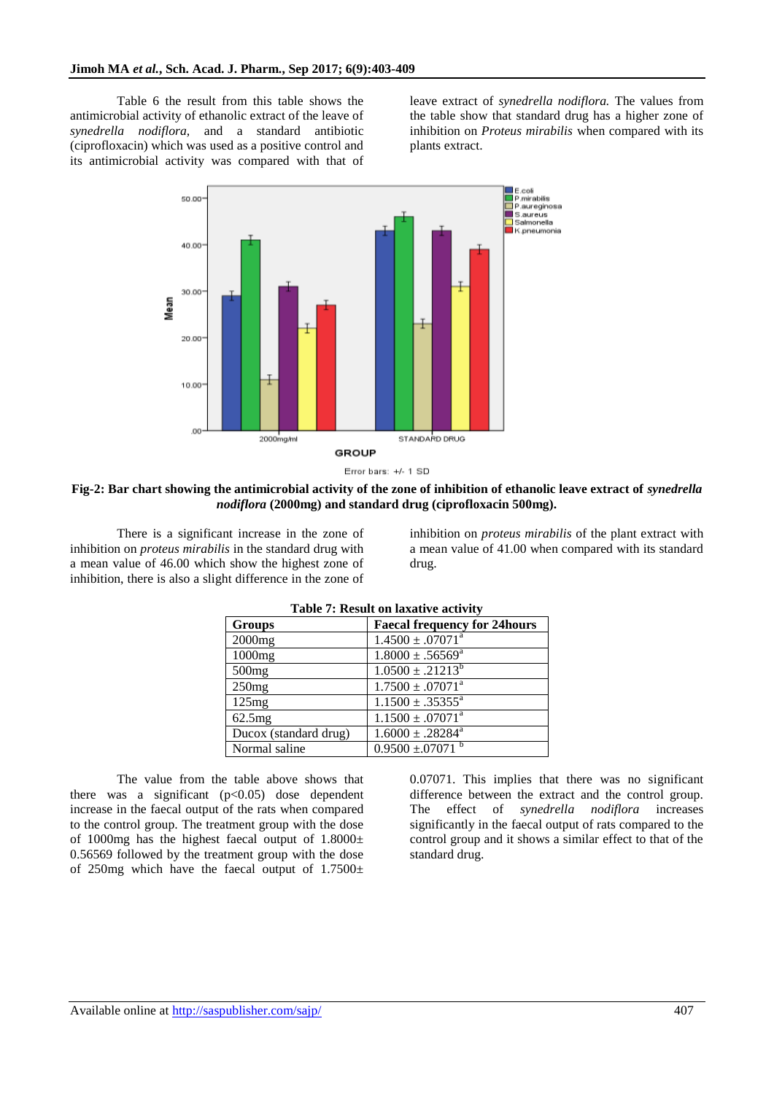Table 6 the result from this table shows the antimicrobial activity of ethanolic extract of the leave of *synedrella nodiflora,* and a standard antibiotic (ciprofloxacin) which was used as a positive control and its antimicrobial activity was compared with that of

leave extract of *synedrella nodiflora.* The values from the table show that standard drug has a higher zone of inhibition on *Proteus mirabilis* when compared with its plants extract.



**Fig-2: Bar chart showing the antimicrobial activity of the zone of inhibition of ethanolic leave extract of** *synedrella nodiflora* **(2000mg) and standard drug (ciprofloxacin 500mg).**

There is a significant increase in the zone of inhibition on *proteus mirabilis* in the standard drug with a mean value of 46.00 which show the highest zone of inhibition, there is also a slight difference in the zone of

inhibition on *proteus mirabilis* of the plant extract with a mean value of 41.00 when compared with its standard drug.

| <b>Groups</b>         | <b>Faecal frequency for 24hours</b> |  |
|-----------------------|-------------------------------------|--|
| 2000mg                | $1.4500 \pm .07071^a$               |  |
| 1000mg                | $1.8000 \pm .56569^{\text{a}}$      |  |
| 500mg                 | $1.0500 \pm .21213^b$               |  |
| 250mg                 | $1.7500 \pm .07071^a$               |  |
| 125mg                 | $1.1500 \pm .35355^a$               |  |
| 62.5mg                | $1.1500 \pm .07071^a$               |  |
| Ducox (standard drug) | $1.6000 \pm .28284^a$               |  |
| Normal saline         | $0.9500 \pm .07071$ <sup>b</sup>    |  |

**Table 7: Result on laxative activity**

The value from the table above shows that there was a significant  $(p<0.05)$  dose dependent increase in the faecal output of the rats when compared to the control group. The treatment group with the dose of 1000mg has the highest faecal output of  $1.8000\pm$ 0.56569 followed by the treatment group with the dose of 250mg which have the faecal output of  $1.7500\pm$ 

0.07071. This implies that there was no significant difference between the extract and the control group. The effect of *synedrella nodiflora* increases significantly in the faecal output of rats compared to the control group and it shows a similar effect to that of the standard drug.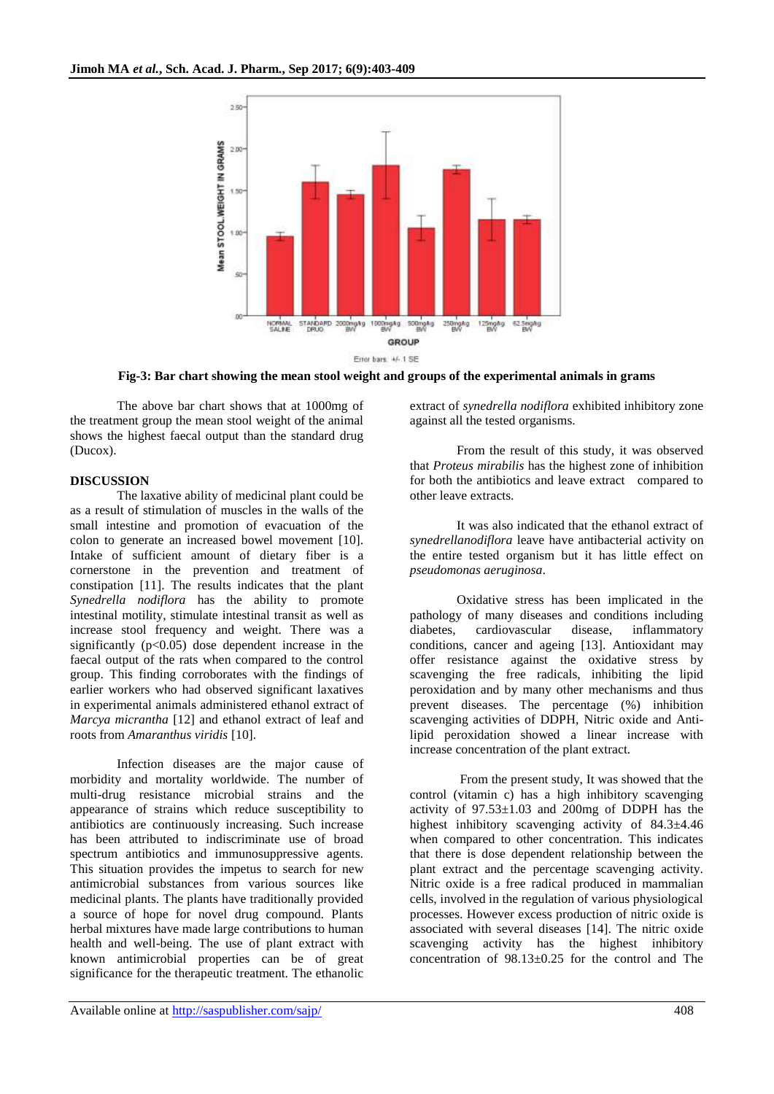

**Fig-3: Bar chart showing the mean stool weight and groups of the experimental animals in grams**

The above bar chart shows that at 1000mg of the treatment group the mean stool weight of the animal shows the highest faecal output than the standard drug (Ducox).

# **DISCUSSION**

The laxative ability of medicinal plant could be as a result of stimulation of muscles in the walls of the small intestine and promotion of evacuation of the colon to generate an increased bowel movement [10]. Intake of sufficient amount of dietary fiber is a cornerstone in the prevention and treatment of constipation [11]. The results indicates that the plant *Synedrella nodiflora* has the ability to promote intestinal motility, stimulate intestinal transit as well as increase stool frequency and weight. There was a significantly  $(p<0.05)$  dose dependent increase in the faecal output of the rats when compared to the control group. This finding corroborates with the findings of earlier workers who had observed significant laxatives in experimental animals administered ethanol extract of *Marcya micrantha* [12] and ethanol extract of leaf and roots from *Amaranthus viridis* [10].

Infection diseases are the major cause of morbidity and mortality worldwide. The number of multi-drug resistance microbial strains and the appearance of strains which reduce susceptibility to antibiotics are continuously increasing. Such increase has been attributed to indiscriminate use of broad spectrum antibiotics and immunosuppressive agents. This situation provides the impetus to search for new antimicrobial substances from various sources like medicinal plants. The plants have traditionally provided a source of hope for novel drug compound. Plants herbal mixtures have made large contributions to human health and well-being. The use of plant extract with known antimicrobial properties can be of great significance for the therapeutic treatment. The ethanolic

extract of *synedrella nodiflora* exhibited inhibitory zone against all the tested organisms.

From the result of this study, it was observed that *Proteus mirabilis* has the highest zone of inhibition for both the antibiotics and leave extract compared to other leave extracts.

It was also indicated that the ethanol extract of *synedrellanodiflora* leave have antibacterial activity on the entire tested organism but it has little effect on *pseudomonas aeruginosa*.

Oxidative stress has been implicated in the pathology of many diseases and conditions including diabetes, cardiovascular disease, inflammatory conditions, cancer and ageing [13]. Antioxidant may offer resistance against the oxidative stress by scavenging the free radicals, inhibiting the lipid peroxidation and by many other mechanisms and thus prevent diseases. The percentage (%) inhibition scavenging activities of DDPH, Nitric oxide and Antilipid peroxidation showed a linear increase with increase concentration of the plant extract.

From the present study, It was showed that the control (vitamin c) has a high inhibitory scavenging activity of  $97.53 \pm 1.03$  and 200mg of DDPH has the highest inhibitory scavenging activity of 84.3±4.46 when compared to other concentration. This indicates that there is dose dependent relationship between the plant extract and the percentage scavenging activity. Nitric oxide is a free radical produced in mammalian cells, involved in the regulation of various physiological processes. However excess production of nitric oxide is associated with several diseases [14]. The nitric oxide scavenging activity has the highest inhibitory concentration of 98.13±0.25 for the control and The